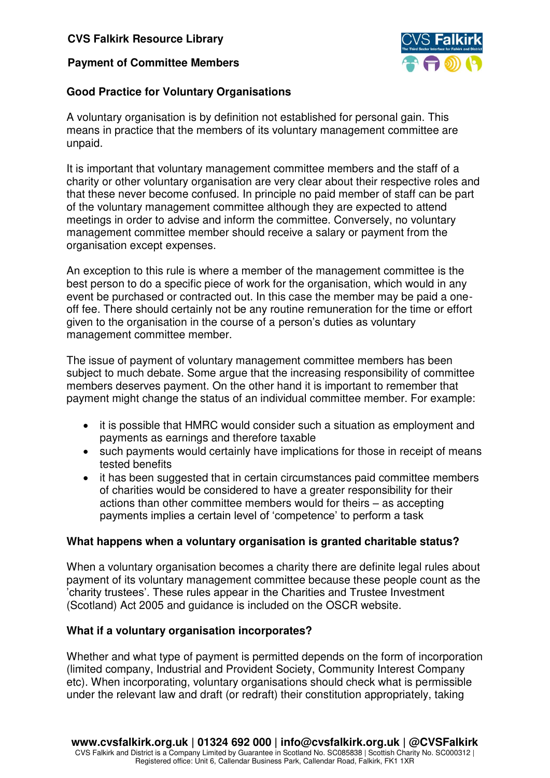## **CVS Falkirk Resource Library**

### **Payment of Committee Members**



## **Good Practice for Voluntary Organisations**

A voluntary organisation is by definition not established for personal gain. This means in practice that the members of its voluntary management committee are unpaid.

It is important that voluntary management committee members and the staff of a charity or other voluntary organisation are very clear about their respective roles and that these never become confused. In principle no paid member of staff can be part of the voluntary management committee although they are expected to attend meetings in order to advise and inform the committee. Conversely, no voluntary management committee member should receive a salary or payment from the organisation except expenses.

An exception to this rule is where a member of the management committee is the best person to do a specific piece of work for the organisation, which would in any event be purchased or contracted out. In this case the member may be paid a oneoff fee. There should certainly not be any routine remuneration for the time or effort given to the organisation in the course of a person's duties as voluntary management committee member.

The issue of payment of voluntary management committee members has been subject to much debate. Some argue that the increasing responsibility of committee members deserves payment. On the other hand it is important to remember that payment might change the status of an individual committee member. For example:

- it is possible that HMRC would consider such a situation as employment and payments as earnings and therefore taxable
- such payments would certainly have implications for those in receipt of means tested benefits
- it has been suggested that in certain circumstances paid committee members of charities would be considered to have a greater responsibility for their actions than other committee members would for theirs – as accepting payments implies a certain level of 'competence' to perform a task

### **What happens when a voluntary organisation is granted charitable status?**

When a voluntary organisation becomes a charity there are definite legal rules about payment of its voluntary management committee because these people count as the 'charity trustees'. These rules appear in the Charities and Trustee Investment (Scotland) Act 2005 and guidance is included on the OSCR website.

### **What if a voluntary organisation incorporates?**

Whether and what type of payment is permitted depends on the form of incorporation (limited company, Industrial and Provident Society, Community Interest Company etc). When incorporating, voluntary organisations should check what is permissible under the relevant law and draft (or redraft) their constitution appropriately, taking